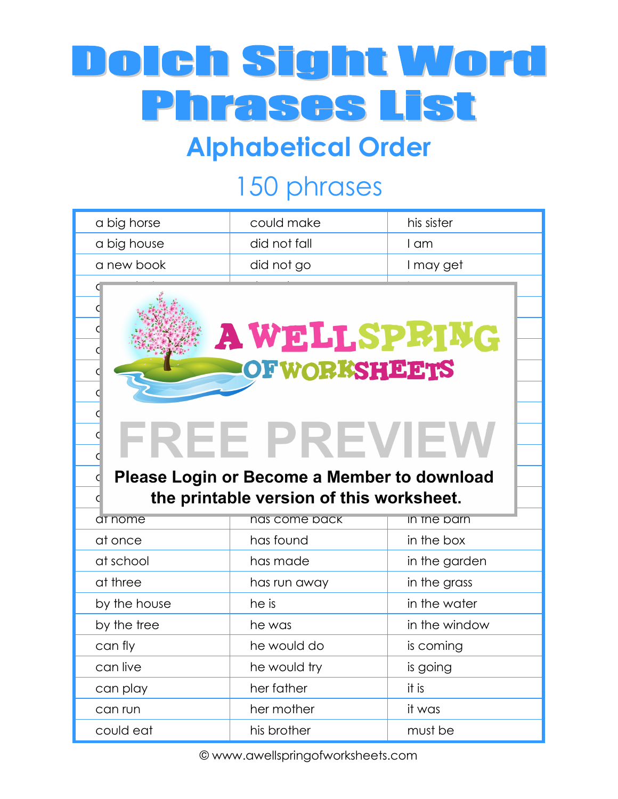# Dolch Sight Word **Phrases List**

### **Alphabetical Order**

## 150 phrases

| a big horse          | could make                                         | his sister    |
|----------------------|----------------------------------------------------|---------------|
| a big house          | did not fall                                       | I am          |
| a new book           | did not go                                         | I may get     |
|                      |                                                    |               |
|                      |                                                    |               |
|                      | <b>AWELLSPRING</b>                                 |               |
|                      |                                                    |               |
| <b>OF WORKSHEETS</b> |                                                    |               |
|                      |                                                    |               |
|                      |                                                    |               |
|                      | <b>REE PREVIEV</b>                                 |               |
|                      |                                                    |               |
|                      | <b>Please Login or Become a Member to download</b> |               |
|                      | the printable version of this worksheet.           |               |
| at nome              | nas come pack                                      | in the parn   |
| at once              | has found                                          | in the box    |
| at school            | has made                                           | in the garden |
| at three             | has run away                                       | in the grass  |
| by the house         |                                                    |               |
|                      | he is                                              | in the water  |
| by the tree          | he was                                             | in the window |
| can fly              | he would do                                        | is coming     |
| can live             | he would try                                       | is going      |
| can play             | her father                                         | it is         |
| can run              | her mother                                         | it was        |

© www.awellspringofworksheets.com